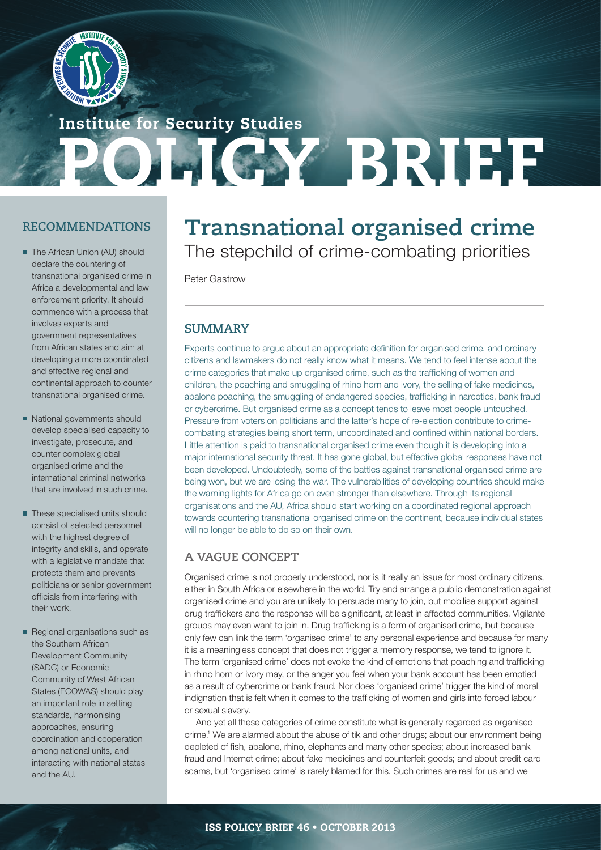

OLICY BRIEF Institute for Security Studies

## **RECOMMENDATIONS**

- The African Union (AU) should declare the countering of transnational organised crime in Africa a developmental and law enforcement priority. It should commence with a process that involves experts and government representatives from African states and aim at developing a more coordinated and effective regional and continental approach to counter transnational organised crime.
- National governments should develop specialised capacity to investigate, prosecute, and counter complex global organised crime and the international criminal networks that are involved in such crime.
- These specialised units should consist of selected personnel with the highest degree of integrity and skills, and operate with a legislative mandate that protects them and prevents politicians or senior government officials from interfering with their work.
- Regional organisations such as the Southern African Development Community (SADC) or Economic Community of West African States (ECOWAS) should play an important role in setting standards, harmonising approaches, ensuring coordination and cooperation among national units, and interacting with national states and the AU.

# **Transnational organised crime** The stepchild of crime-combating priorities

Peter Gastrow

## **SUMMARY**

Experts continue to argue about an appropriate definition for organised crime, and ordinary citizens and lawmakers do not really know what it means. We tend to feel intense about the crime categories that make up organised crime, such as the trafficking of women and children, the poaching and smuggling of rhino horn and ivory, the selling of fake medicines, abalone poaching, the smuggling of endangered species, trafficking in narcotics, bank fraud or cybercrime. But organised crime as a concept tends to leave most people untouched. Pressure from voters on politicians and the latter's hope of re-election contribute to crimecombating strategies being short term, uncoordinated and confined within national borders. Little attention is paid to transnational organised crime even though it is developing into a major international security threat. It has gone global, but effective global responses have not been developed. Undoubtedly, some of the battles against transnational organised crime are being won, but we are losing the war. The vulnerabilities of developing countries should make the warning lights for Africa go on even stronger than elsewhere. Through its regional organisations and the AU, Africa should start working on a coordinated regional approach towards countering transnational organised crime on the continent, because individual states will no longer be able to do so on their own.

## **A VAGUE CONCEPT**

Organised crime is not properly understood, nor is it really an issue for most ordinary citizens, either in South Africa or elsewhere in the world. Try and arrange a public demonstration against organised crime and you are unlikely to persuade many to join, but mobilise support against drug traffickers and the response will be significant, at least in affected communities. Vigilante groups may even want to join in. Drug trafficking is a form of organised crime, but because only few can link the term 'organised crime' to any personal experience and because for many it is a meaningless concept that does not trigger a memory response, we tend to ignore it. The term 'organised crime' does not evoke the kind of emotions that poaching and trafficking in rhino horn or ivory may, or the anger you feel when your bank account has been emptied as a result of cybercrime or bank fraud. Nor does 'organised crime' trigger the kind of moral indignation that is felt when it comes to the trafficking of women and girls into forced labour or sexual slavery.

And yet all these categories of crime constitute what is generally regarded as organised crime.1 We are alarmed about the abuse of tik and other drugs; about our environment being depleted of fish, abalone, rhino, elephants and many other species; about increased bank fraud and Internet crime; about fake medicines and counterfeit goods; and about credit card scams, but 'organised crime' is rarely blamed for this. Such crimes are real for us and we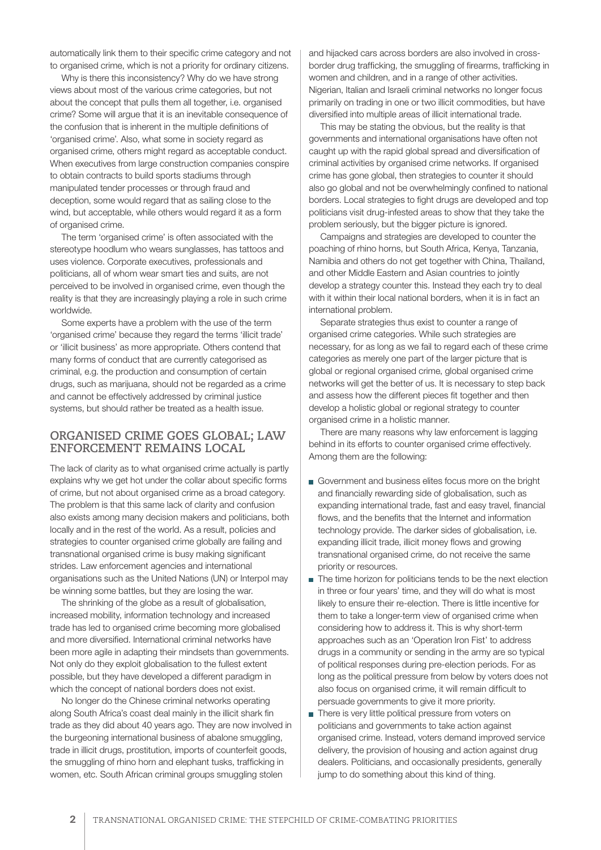automatically link them to their specific crime category and not to organised crime, which is not a priority for ordinary citizens.

Why is there this inconsistency? Why do we have strong views about most of the various crime categories, but not about the concept that pulls them all together, i.e. organised crime? Some will argue that it is an inevitable consequence of the confusion that is inherent in the multiple definitions of 'organised crime'. Also, what some in society regard as organised crime, others might regard as acceptable conduct. When executives from large construction companies conspire to obtain contracts to build sports stadiums through manipulated tender processes or through fraud and deception, some would regard that as sailing close to the wind, but acceptable, while others would regard it as a form of organised crime.

The term 'organised crime' is often associated with the stereotype hoodlum who wears sunglasses, has tattoos and uses violence. Corporate executives, professionals and politicians, all of whom wear smart ties and suits, are not perceived to be involved in organised crime, even though the reality is that they are increasingly playing a role in such crime worldwide.

Some experts have a problem with the use of the term 'organised crime' because they regard the terms 'illicit trade' or 'illicit business' as more appropriate. Others contend that many forms of conduct that are currently categorised as criminal, e.g. the production and consumption of certain drugs, such as marijuana, should not be regarded as a crime and cannot be effectively addressed by criminal justice systems, but should rather be treated as a health issue.

#### **ORGANISED CRIME GOES GLOBAL; LAW ENFORCEMENT REMAINS LOCAL**

The lack of clarity as to what organised crime actually is partly explains why we get hot under the collar about specific forms of crime, but not about organised crime as a broad category. The problem is that this same lack of clarity and confusion also exists among many decision makers and politicians, both locally and in the rest of the world. As a result, policies and strategies to counter organised crime globally are failing and transnational organised crime is busy making significant strides. Law enforcement agencies and international organisations such as the United Nations (UN) or Interpol may be winning some battles, but they are losing the war.

The shrinking of the globe as a result of globalisation, increased mobility, information technology and increased trade has led to organised crime becoming more globalised and more diversified. International criminal networks have been more agile in adapting their mindsets than governments. Not only do they exploit globalisation to the fullest extent possible, but they have developed a different paradigm in which the concept of national borders does not exist.

No longer do the Chinese criminal networks operating along South Africa's coast deal mainly in the illicit shark fin trade as they did about 40 years ago. They are now involved in the burgeoning international business of abalone smuggling, trade in illicit drugs, prostitution, imports of counterfeit goods, the smuggling of rhino horn and elephant tusks, trafficking in women, etc. South African criminal groups smuggling stolen

and hijacked cars across borders are also involved in crossborder drug trafficking, the smuggling of firearms, trafficking in women and children, and in a range of other activities. Nigerian, Italian and Israeli criminal networks no longer focus primarily on trading in one or two illicit commodities, but have diversified into multiple areas of illicit international trade.

This may be stating the obvious, but the reality is that governments and international organisations have often not caught up with the rapid global spread and diversification of criminal activities by organised crime networks. If organised crime has gone global, then strategies to counter it should also go global and not be overwhelmingly confined to national borders. Local strategies to fight drugs are developed and top politicians visit drug-infested areas to show that they take the problem seriously, but the bigger picture is ignored.

Campaigns and strategies are developed to counter the poaching of rhino horns, but South Africa, Kenya, Tanzania, Namibia and others do not get together with China, Thailand, and other Middle Eastern and Asian countries to jointly develop a strategy counter this. Instead they each try to deal with it within their local national borders, when it is in fact an international problem.

Separate strategies thus exist to counter a range of organised crime categories. While such strategies are necessary, for as long as we fail to regard each of these crime categories as merely one part of the larger picture that is global or regional organised crime, global organised crime networks will get the better of us. It is necessary to step back and assess how the different pieces fit together and then develop a holistic global or regional strategy to counter organised crime in a holistic manner.

There are many reasons why law enforcement is lagging behind in its efforts to counter organised crime effectively. Among them are the following:

- Government and business elites focus more on the bright and financially rewarding side of globalisation, such as expanding international trade, fast and easy travel, financial flows, and the benefits that the Internet and information technology provide. The darker sides of globalisation, i.e. expanding illicit trade, illicit money flows and growing transnational organised crime, do not receive the same priority or resources.
- The time horizon for politicians tends to be the next election in three or four years' time, and they will do what is most likely to ensure their re-election. There is little incentive for them to take a longer-term view of organised crime when considering how to address it. This is why short-term approaches such as an 'Operation Iron Fist' to address drugs in a community or sending in the army are so typical of political responses during pre-election periods. For as long as the political pressure from below by voters does not also focus on organised crime, it will remain difficult to persuade governments to give it more priority.
- There is very little political pressure from voters on politicians and governments to take action against organised crime. Instead, voters demand improved service delivery, the provision of housing and action against drug dealers. Politicians, and occasionally presidents, generally jump to do something about this kind of thing.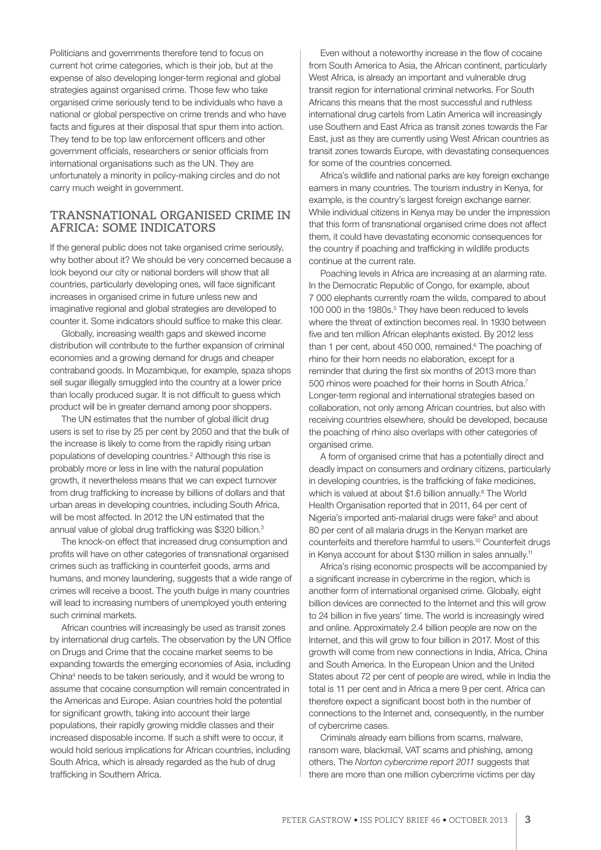Politicians and governments therefore tend to focus on current hot crime categories, which is their job, but at the expense of also developing longer-term regional and global strategies against organised crime. Those few who take organised crime seriously tend to be individuals who have a national or global perspective on crime trends and who have facts and figures at their disposal that spur them into action. They tend to be top law enforcement officers and other government officials, researchers or senior officials from international organisations such as the UN. They are unfortunately a minority in policy-making circles and do not carry much weight in government.

#### **TRANSNATIONAL ORGANISED CRIME IN AFRICA: SOME INDICATORS**

If the general public does not take organised crime seriously, why bother about it? We should be very concerned because a look beyond our city or national borders will show that all countries, particularly developing ones, will face significant increases in organised crime in future unless new and imaginative regional and global strategies are developed to counter it. Some indicators should suffice to make this clear.

Globally, increasing wealth gaps and skewed income distribution will contribute to the further expansion of criminal economies and a growing demand for drugs and cheaper contraband goods. In Mozambique, for example, spaza shops sell sugar illegally smuggled into the country at a lower price than locally produced sugar. It is not difficult to guess which product will be in greater demand among poor shoppers.

The UN estimates that the number of global illicit drug users is set to rise by 25 per cent by 2050 and that the bulk of the increase is likely to come from the rapidly rising urban populations of developing countries.<sup>2</sup> Although this rise is probably more or less in line with the natural population growth, it nevertheless means that we can expect turnover from drug trafficking to increase by billions of dollars and that urban areas in developing countries, including South Africa, will be most affected. In 2012 the UN estimated that the annual value of global drug trafficking was \$320 billion.3

The knock-on effect that increased drug consumption and profits will have on other categories of transnational organised crimes such as trafficking in counterfeit goods, arms and humans, and money laundering, suggests that a wide range of crimes will receive a boost. The youth bulge in many countries will lead to increasing numbers of unemployed youth entering such criminal markets.

African countries will increasingly be used as transit zones by international drug cartels. The observation by the UN Office on Drugs and Crime that the cocaine market seems to be expanding towards the emerging economies of Asia, including China4 needs to be taken seriously, and it would be wrong to assume that cocaine consumption will remain concentrated in the Americas and Europe. Asian countries hold the potential for significant growth, taking into account their large populations, their rapidly growing middle classes and their increased disposable income. If such a shift were to occur, it would hold serious implications for African countries, including South Africa, which is already regarded as the hub of drug trafficking in Southern Africa.

Even without a noteworthy increase in the flow of cocaine from South America to Asia, the African continent, particularly West Africa, is already an important and vulnerable drug transit region for international criminal networks. For South Africans this means that the most successful and ruthless international drug cartels from Latin America will increasingly use Southern and East Africa as transit zones towards the Far East, just as they are currently using West African countries as transit zones towards Europe, with devastating consequences for some of the countries concerned.

Africa's wildlife and national parks are key foreign exchange earners in many countries. The tourism industry in Kenya, for example, is the country's largest foreign exchange earner. While individual citizens in Kenya may be under the impression that this form of transnational organised crime does not affect them, it could have devastating economic consequences for the country if poaching and trafficking in wildlife products continue at the current rate.

Poaching levels in Africa are increasing at an alarming rate. In the Democratic Republic of Congo, for example, about 7 000 elephants currently roam the wilds, compared to about 100 000 in the 1980s.<sup>5</sup> They have been reduced to levels where the threat of extinction becomes real. In 1930 between five and ten million African elephants existed. By 2012 less than 1 per cent, about 450 000, remained.<sup>6</sup> The poaching of rhino for their horn needs no elaboration, except for a reminder that during the first six months of 2013 more than 500 rhinos were poached for their horns in South Africa.7 Longer-term regional and international strategies based on collaboration, not only among African countries, but also with receiving countries elsewhere, should be developed, because the poaching of rhino also overlaps with other categories of organised crime.

A form of organised crime that has a potentially direct and deadly impact on consumers and ordinary citizens, particularly in developing countries, is the trafficking of fake medicines, which is valued at about \$1.6 billion annually.<sup>8</sup> The World Health Organisation reported that in 2011, 64 per cent of Nigeria's imported anti-malarial drugs were fake<sup>9</sup> and about 80 per cent of all malaria drugs in the Kenyan market are counterfeits and therefore harmful to users.10 Counterfeit drugs in Kenya account for about \$130 million in sales annually.<sup>11</sup>

Africa's rising economic prospects will be accompanied by a significant increase in cybercrime in the region, which is another form of international organised crime. Globally, eight billion devices are connected to the Internet and this will grow to 24 billion in five years' time. The world is increasingly wired and online. Approximately 2.4 billion people are now on the Internet, and this will grow to four billion in 2017. Most of this growth will come from new connections in India, Africa, China and South America. In the European Union and the United States about 72 per cent of people are wired, while in India the total is 11 per cent and in Africa a mere 9 per cent. Africa can therefore expect a significant boost both in the number of connections to the Internet and, consequently, in the number of cybercrime cases.

Criminals already earn billions from scams, malware, ransom ware, blackmail, VAT scams and phishing, among others. The *Norton cybercrime report 2011* suggests that there are more than one million cybercrime victims per day